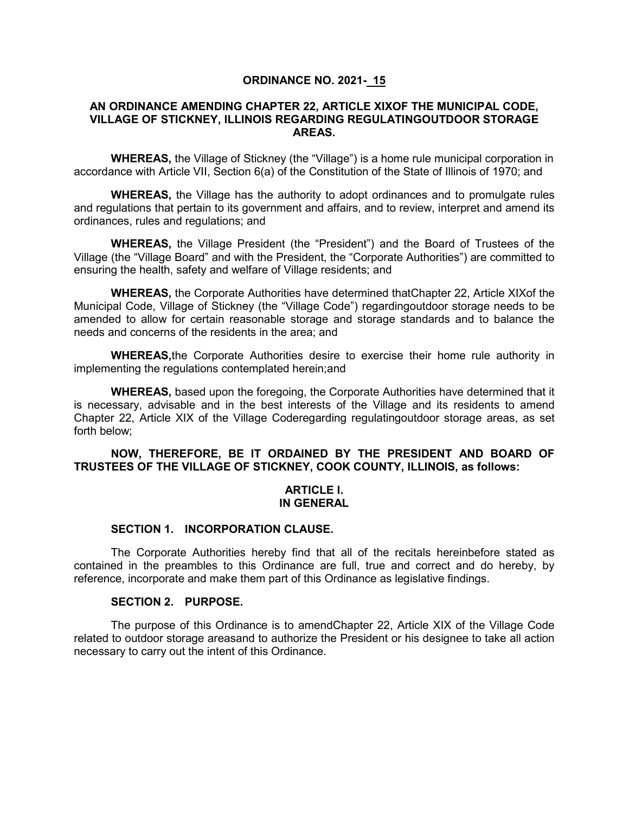## **ORDINANCE NO. 2021- 15**

## **AN ORDINANCE AMENDING CHAPTER 22, ARTICLE XIXOF THE MUNICIPAL CODE, VILLAGE OF STICKNEY, ILLINOIS REGARDING REGULATINGOUTDOOR STORAGE AREAS.**

**WHEREAS,** the Village of Stickney (the "Village") is a home rule municipal corporation in accordance with Article VII, Section 6(a) of the Constitution of the State of Illinois of 1970; and

**WHEREAS,** the Village has the authority to adopt ordinances and to promulgate rules and regulations that pertain to its government and affairs, and to review, interpret and amend its ordinances, rules and regulations; and

**WHEREAS,** the Village President (the "President") and the Board of Trustees of the Village (the "Village Board" and with the President, the "Corporate Authorities") are committed to ensuring the health, safety and welfare of Village residents; and

**WHEREAS,** the Corporate Authorities have determined thatChapter 22, Article XIXof the Municipal Code, Village of Stickney (the "Village Code") regardingoutdoor storage needs to be amended to allow for certain reasonable storage and storage standards and to balance the needs and concerns of the residents in the area; and

**WHEREAS,**the Corporate Authorities desire to exercise their home rule authority in implementing the regulations contemplated herein;and

**WHEREAS,** based upon the foregoing, the Corporate Authorities have determined that it is necessary, advisable and in the best interests of the Village and its residents to amend Chapter 22, Article XIX of the Village Coderegarding regulatingoutdoor storage areas, as set forth below;

# **NOW, THEREFORE, BE IT ORDAINED BY THE PRESIDENT AND BOARD OF TRUSTEES OF THE VILLAGE OF STICKNEY, COOK COUNTY, ILLINOIS, as follows:**

#### **ARTICLE I. IN GENERAL**

## **SECTION 1. INCORPORATION CLAUSE.**

The Corporate Authorities hereby find that all of the recitals hereinbefore stated as contained in the preambles to this Ordinance are full, true and correct and do hereby, by reference, incorporate and make them part of this Ordinance as legislative findings.

# **SECTION 2. PURPOSE.**

The purpose of this Ordinance is to amendChapter 22, Article XIX of the Village Code related to outdoor storage areasand to authorize the President or his designee to take all action necessary to carry out the intent of this Ordinance.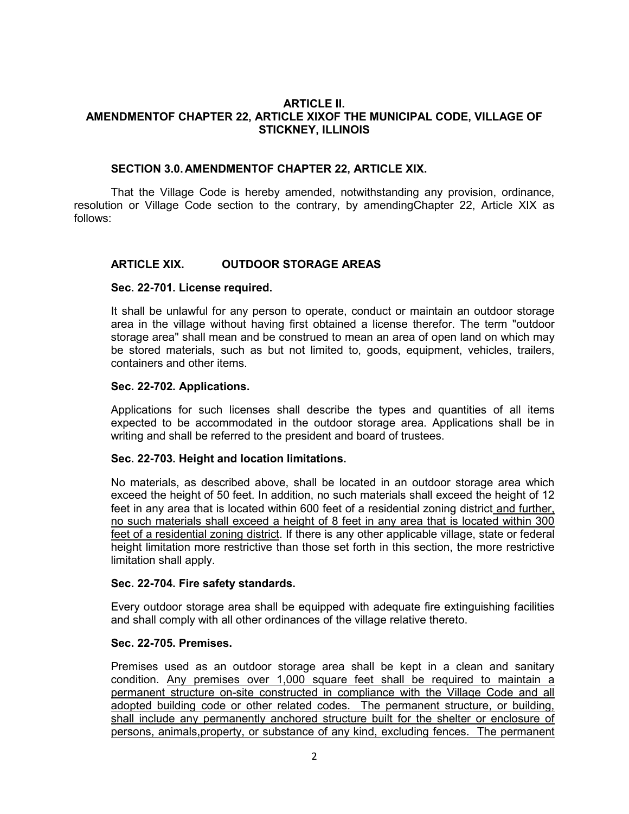## **ARTICLE II. AMENDMENTOF CHAPTER 22, ARTICLE XIXOF THE MUNICIPAL CODE, VILLAGE OF STICKNEY, ILLINOIS**

## **SECTION 3.0. AMENDMENTOF CHAPTER 22, ARTICLE XIX.**

That the Village Code is hereby amended, notwithstanding any provision, ordinance, resolution or Village Code section to the contrary, by amendingChapter 22, Article XIX as follows:

# **ARTICLE XIX. OUTDOOR STORAGE AREAS**

## **Sec. 22-701. License required.**

It shall be unlawful for any person to operate, conduct or maintain an outdoor storage area in the village without having first obtained a license therefor. The term "outdoor storage area" shall mean and be construed to mean an area of open land on which may be stored materials, such as but not limited to, goods, equipment, vehicles, trailers, containers and other items.

#### **Sec. 22-702. Applications.**

Applications for such licenses shall describe the types and quantities of all items expected to be accommodated in the outdoor storage area. Applications shall be in writing and shall be referred to the president and board of trustees.

## **Sec. 22-703. Height and location limitations.**

No materials, as described above, shall be located in an outdoor storage area which exceed the height of 50 feet. In addition, no such materials shall exceed the height of 12 feet in any area that is located within 600 feet of a residential zoning district and further, no such materials shall exceed a height of 8 feet in any area that is located within 300 feet of a residential zoning district. If there is any other applicable village, state or federal height limitation more restrictive than those set forth in this section, the more restrictive limitation shall apply.

## **Sec. 22-704. Fire safety standards.**

Every outdoor storage area shall be equipped with adequate fire extinguishing facilities and shall comply with all other ordinances of the village relative thereto.

#### **Sec. 22-705. Premises.**

Premises used as an outdoor storage area shall be kept in a clean and sanitary condition. Any premises over 1,000 square feet shall be required to maintain a permanent structure on-site constructed in compliance with the Village Code and all adopted building code or other related codes. The permanent structure, or building, shall include any permanently anchored structure built for the shelter or enclosure of persons, animals,property, or substance of any kind, excluding fences. The permanent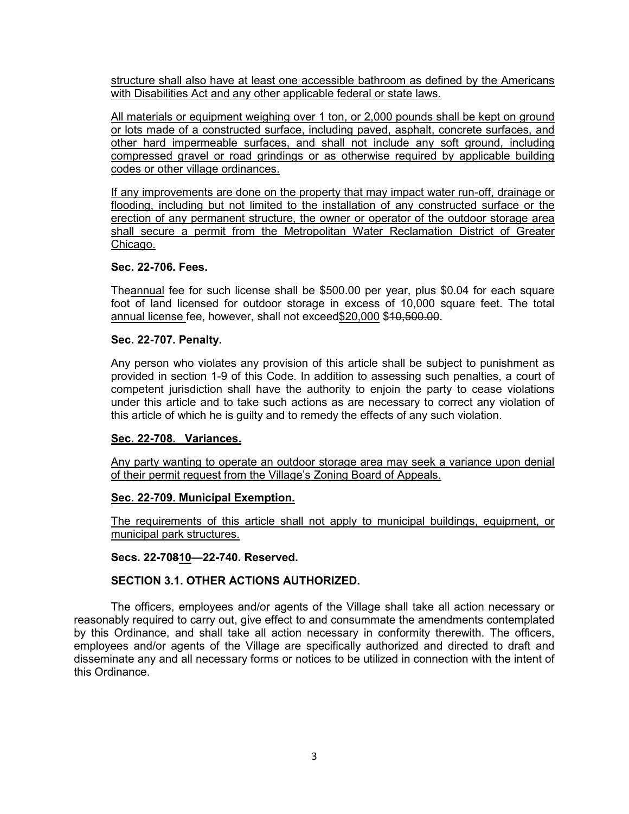structure shall also have at least one accessible bathroom as defined by the Americans with Disabilities Act and any other applicable federal or state laws.

All materials or equipment weighing over 1 ton, or 2,000 pounds shall be kept on ground or lots made of a constructed surface, including paved, asphalt, concrete surfaces, and other hard impermeable surfaces, and shall not include any soft ground, including compressed gravel or road grindings or as otherwise required by applicable building codes or other village ordinances.

If any improvements are done on the property that may impact water run-off, drainage or flooding, including but not limited to the installation of any constructed surface or the erection of any permanent structure, the owner or operator of the outdoor storage area shall secure a permit from the Metropolitan Water Reclamation District of Greater Chicago.

## **Sec. 22-706. Fees.**

Theannual fee for such license shall be \$500.00 per year, plus \$0.04 for each square foot of land licensed for outdoor storage in excess of 10,000 square feet. The total annual license fee, however, shall not exceed\$20,000 \$10,500.00.

## **Sec. 22-707. Penalty.**

Any person who violates any provision of this article shall be subject to punishment as provided in section 1-9 of this Code. In addition to assessing such penalties, a court of competent jurisdiction shall have the authority to enjoin the party to cease violations under this article and to take such actions as are necessary to correct any violation of this article of which he is guilty and to remedy the effects of any such violation.

## **Sec. 22-708. Variances.**

Any party wanting to operate an outdoor storage area may seek a variance upon denial of their permit request from the Village's Zoning Board of Appeals.

## **Sec. 22-709. Municipal Exemption.**

The requirements of this article shall not apply to municipal buildings, equipment, or municipal park structures.

## **Secs. 22-70810—22-740. Reserved.**

## **SECTION 3.1. OTHER ACTIONS AUTHORIZED.**

The officers, employees and/or agents of the Village shall take all action necessary or reasonably required to carry out, give effect to and consummate the amendments contemplated by this Ordinance, and shall take all action necessary in conformity therewith. The officers, employees and/or agents of the Village are specifically authorized and directed to draft and disseminate any and all necessary forms or notices to be utilized in connection with the intent of this Ordinance.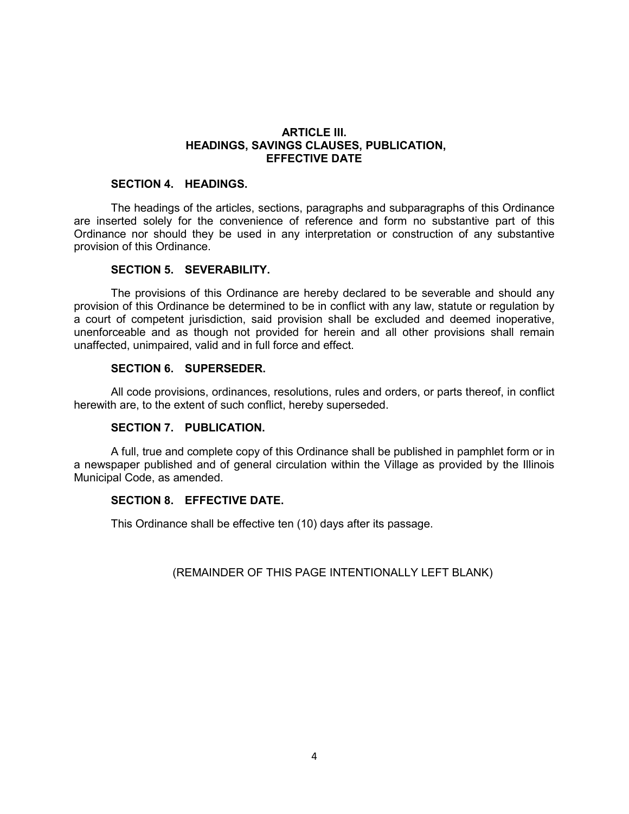# **ARTICLE III. HEADINGS, SAVINGS CLAUSES, PUBLICATION, EFFECTIVE DATE**

# **SECTION 4. HEADINGS.**

The headings of the articles, sections, paragraphs and subparagraphs of this Ordinance are inserted solely for the convenience of reference and form no substantive part of this Ordinance nor should they be used in any interpretation or construction of any substantive provision of this Ordinance.

#### **SECTION 5. SEVERABILITY.**

The provisions of this Ordinance are hereby declared to be severable and should any provision of this Ordinance be determined to be in conflict with any law, statute or regulation by a court of competent jurisdiction, said provision shall be excluded and deemed inoperative, unenforceable and as though not provided for herein and all other provisions shall remain unaffected, unimpaired, valid and in full force and effect.

## **SECTION 6. SUPERSEDER.**

All code provisions, ordinances, resolutions, rules and orders, or parts thereof, in conflict herewith are, to the extent of such conflict, hereby superseded.

## **SECTION 7. PUBLICATION.**

A full, true and complete copy of this Ordinance shall be published in pamphlet form or in a newspaper published and of general circulation within the Village as provided by the Illinois Municipal Code, as amended.

## **SECTION 8. EFFECTIVE DATE.**

This Ordinance shall be effective ten (10) days after its passage.

## (REMAINDER OF THIS PAGE INTENTIONALLY LEFT BLANK)